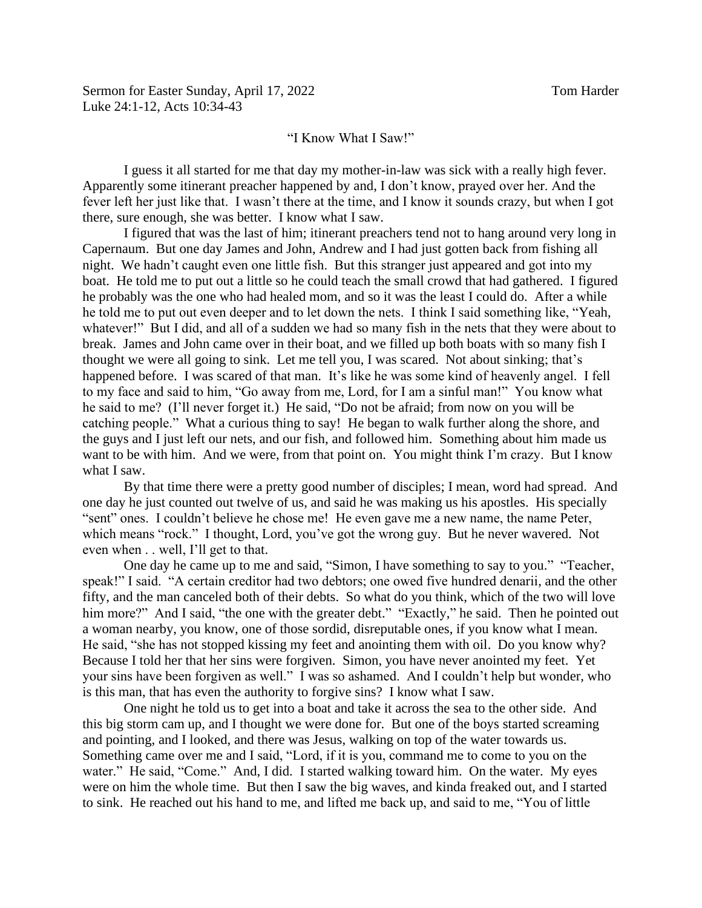## "I Know What I Saw!"

I guess it all started for me that day my mother-in-law was sick with a really high fever. Apparently some itinerant preacher happened by and, I don't know, prayed over her. And the fever left her just like that. I wasn't there at the time, and I know it sounds crazy, but when I got there, sure enough, she was better. I know what I saw.

I figured that was the last of him; itinerant preachers tend not to hang around very long in Capernaum. But one day James and John, Andrew and I had just gotten back from fishing all night. We hadn't caught even one little fish. But this stranger just appeared and got into my boat. He told me to put out a little so he could teach the small crowd that had gathered. I figured he probably was the one who had healed mom, and so it was the least I could do. After a while he told me to put out even deeper and to let down the nets. I think I said something like, "Yeah, whatever!" But I did, and all of a sudden we had so many fish in the nets that they were about to break. James and John came over in their boat, and we filled up both boats with so many fish I thought we were all going to sink. Let me tell you, I was scared. Not about sinking; that's happened before. I was scared of that man. It's like he was some kind of heavenly angel. I fell to my face and said to him, "Go away from me, Lord, for I am a sinful man!" You know what he said to me? (I'll never forget it.) He said, "Do not be afraid; from now on you will be catching people." What a curious thing to say! He began to walk further along the shore, and the guys and I just left our nets, and our fish, and followed him. Something about him made us want to be with him. And we were, from that point on. You might think I'm crazy. But I know what I saw.

By that time there were a pretty good number of disciples; I mean, word had spread. And one day he just counted out twelve of us, and said he was making us his apostles. His specially "sent" ones. I couldn't believe he chose me! He even gave me a new name, the name Peter, which means "rock." I thought, Lord, you've got the wrong guy. But he never wavered. Not even when . . well, I'll get to that.

One day he came up to me and said, "Simon, I have something to say to you." "Teacher, speak!" I said. "A certain creditor had two debtors; one owed five hundred denarii, and the other fifty, and the man canceled both of their debts. So what do you think, which of the two will love him more?" And I said, "the one with the greater debt." "Exactly," he said. Then he pointed out a woman nearby, you know, one of those sordid, disreputable ones, if you know what I mean. He said, "she has not stopped kissing my feet and anointing them with oil. Do you know why? Because I told her that her sins were forgiven. Simon, you have never anointed my feet. Yet your sins have been forgiven as well." I was so ashamed. And I couldn't help but wonder, who is this man, that has even the authority to forgive sins? I know what I saw.

One night he told us to get into a boat and take it across the sea to the other side. And this big storm cam up, and I thought we were done for. But one of the boys started screaming and pointing, and I looked, and there was Jesus, walking on top of the water towards us. Something came over me and I said, "Lord, if it is you, command me to come to you on the water." He said, "Come." And, I did. I started walking toward him. On the water. My eyes were on him the whole time. But then I saw the big waves, and kinda freaked out, and I started to sink. He reached out his hand to me, and lifted me back up, and said to me, "You of little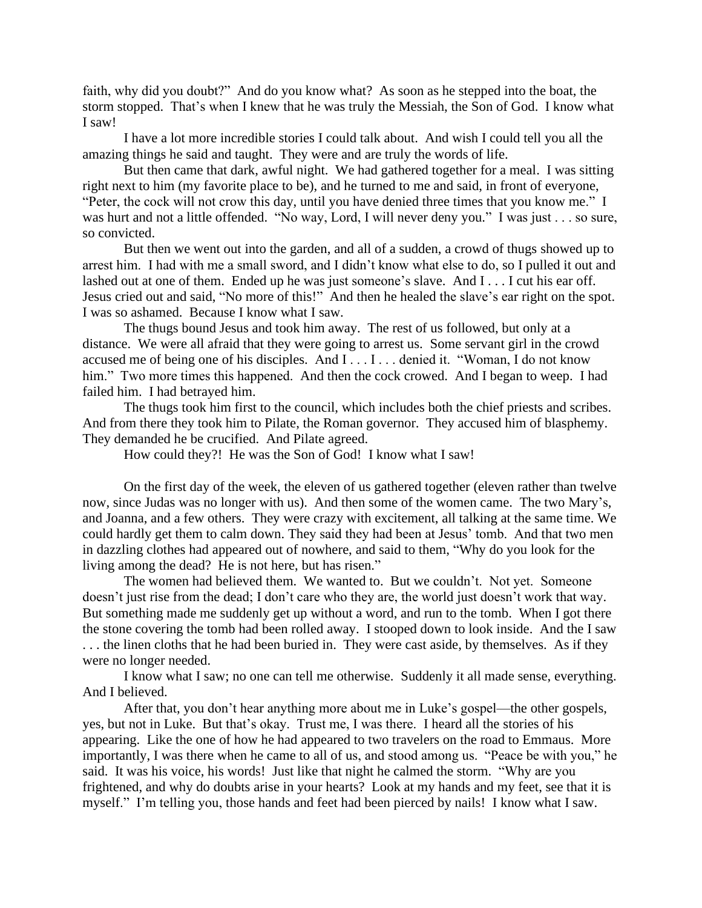faith, why did you doubt?" And do you know what? As soon as he stepped into the boat, the storm stopped. That's when I knew that he was truly the Messiah, the Son of God. I know what I saw!

I have a lot more incredible stories I could talk about. And wish I could tell you all the amazing things he said and taught. They were and are truly the words of life.

But then came that dark, awful night. We had gathered together for a meal. I was sitting right next to him (my favorite place to be), and he turned to me and said, in front of everyone, "Peter, the cock will not crow this day, until you have denied three times that you know me." I was hurt and not a little offended. "No way, Lord, I will never deny you." I was just . . . so sure, so convicted.

But then we went out into the garden, and all of a sudden, a crowd of thugs showed up to arrest him. I had with me a small sword, and I didn't know what else to do, so I pulled it out and lashed out at one of them. Ended up he was just someone's slave. And I . . . I cut his ear off. Jesus cried out and said, "No more of this!" And then he healed the slave's ear right on the spot. I was so ashamed. Because I know what I saw.

The thugs bound Jesus and took him away. The rest of us followed, but only at a distance. We were all afraid that they were going to arrest us. Some servant girl in the crowd accused me of being one of his disciples. And I . . . I . . . denied it. "Woman, I do not know him." Two more times this happened. And then the cock crowed. And I began to weep. I had failed him. I had betrayed him.

The thugs took him first to the council, which includes both the chief priests and scribes. And from there they took him to Pilate, the Roman governor. They accused him of blasphemy. They demanded he be crucified. And Pilate agreed.

How could they?! He was the Son of God! I know what I saw!

On the first day of the week, the eleven of us gathered together (eleven rather than twelve now, since Judas was no longer with us). And then some of the women came. The two Mary's, and Joanna, and a few others. They were crazy with excitement, all talking at the same time. We could hardly get them to calm down. They said they had been at Jesus' tomb. And that two men in dazzling clothes had appeared out of nowhere, and said to them, "Why do you look for the living among the dead? He is not here, but has risen."

The women had believed them. We wanted to. But we couldn't. Not yet. Someone doesn't just rise from the dead; I don't care who they are, the world just doesn't work that way. But something made me suddenly get up without a word, and run to the tomb. When I got there the stone covering the tomb had been rolled away. I stooped down to look inside. And the I saw ... the linen cloths that he had been buried in. They were cast aside, by themselves. As if they were no longer needed.

I know what I saw; no one can tell me otherwise. Suddenly it all made sense, everything. And I believed.

After that, you don't hear anything more about me in Luke's gospel—the other gospels, yes, but not in Luke. But that's okay. Trust me, I was there. I heard all the stories of his appearing. Like the one of how he had appeared to two travelers on the road to Emmaus. More importantly, I was there when he came to all of us, and stood among us. "Peace be with you," he said. It was his voice, his words! Just like that night he calmed the storm. "Why are you frightened, and why do doubts arise in your hearts? Look at my hands and my feet, see that it is myself." I'm telling you, those hands and feet had been pierced by nails! I know what I saw.